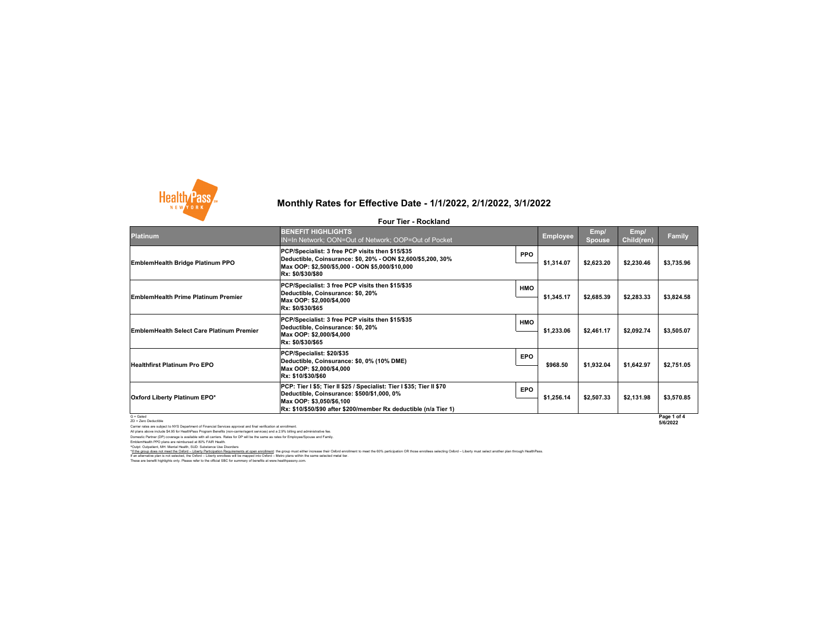Carrier rates are subject to NYS Department of Financial Services approval and final verification at enrollment. All plans above include \$4.95 for HealthPass Program Benefits (non-carrier/agent services) and a 2.9% billing and administrative fee. Domestic Partner (DP) coverage is available with all carriers. Rates for DP will be the same as rates for Employee/Spouse and Family.

EmblemHealth PPO plans are reimbursed at 80% FAIR Health. ^Outpt: Outpatient, MH: Mental Health, SUD: Substance Use Disorders



# **Monthly Rates for Effective Date - 1/1/2022, 2/1/2022, 3/1/2022**

### **Four Tier - Rockland**

\*If the group does not meet the Oxford - Liberty Participation Requirements at open enrollment: the group must either increase their Oxford enrollment to meet the 60% participation OR those enrollees selecting Oxford - Lib

These are benefit highlights only. Please refer to the official SBC for summary of benefits at www.healthpassny.com. If an alternative plan is not selected, the Oxford – Liberty enrollees will be mapped into Oxford – Metro plans within the same selected metal tier.

| <b>Platinum</b>                                  | <b>BENEFIT HIGHLIGHTS</b><br>IN=In Network; OON=Out of Network; OOP=Out of Pocket                                                                                                                                    |            | <b>Employee</b> | Emp/<br><b>Spouse</b> | Emp/<br><b>Child(ren)</b> | <b>Family</b>           |
|--------------------------------------------------|----------------------------------------------------------------------------------------------------------------------------------------------------------------------------------------------------------------------|------------|-----------------|-----------------------|---------------------------|-------------------------|
| <b>EmblemHealth Bridge Platinum PPO</b>          | PCP/Specialist: 3 free PCP visits then \$15/\$35<br> Deductible, Coinsurance: \$0, 20% - OON \$2,600/\$5,200, 30%<br> Max OOP: \$2,500/\$5,000 - OON \$5,000/\$10,000<br><b>Rx: \$0/\$30/\$80</b>                    | <b>PPO</b> | \$1,314.07      | \$2,623.20            | \$2,230.46                | \$3,735.96              |
| <b>EmblemHealth Prime Platinum Premier</b>       | PCP/Specialist: 3 free PCP visits then \$15/\$35<br>Deductible, Coinsurance: \$0, 20%<br>Max OOP: \$2,000/\$4,000<br>Rx: \$0/\$30/\$65                                                                               | <b>HMO</b> | \$1,345.17      | \$2,685.39            | \$2,283.33                | \$3,824.58              |
| <b>EmblemHealth Select Care Platinum Premier</b> | PCP/Specialist: 3 free PCP visits then \$15/\$35<br>Deductible, Coinsurance: \$0, 20%<br>Max OOP: \$2,000/\$4,000<br> Rx: \$0/\$30/\$65                                                                              | <b>HMO</b> | \$1,233.06      | \$2,461.17            | \$2,092.74                | \$3,505.07              |
| <b>Healthfirst Platinum Pro EPO</b>              | PCP/Specialist: \$20/\$35<br>Deductible, Coinsurance: \$0, 0% (10% DME)<br>Max OOP: \$2,000/\$4,000<br><b>Rx: \$10/\$30/\$60</b>                                                                                     | <b>EPO</b> | \$968.50        | \$1,932.04            | \$1,642.97                | \$2,751.05              |
| <b>Oxford Liberty Platinum EPO*</b>              | PCP: Tier I \$5; Tier II \$25 / Specialist: Tier I \$35; Tier II \$70<br>Deductible, Coinsurance: \$500/\$1,000, 0%<br>Max OOP: \$3,050/\$6,100<br> Rx: \$10/\$50/\$90 after \$200/member Rx deductible (n/a Tier 1) | <b>EPO</b> | \$1,256.14      | \$2,507.33            | \$2,131.98                | \$3,570.85              |
| $G =$ Gated<br>ZD = Zero Deductible              |                                                                                                                                                                                                                      |            |                 |                       |                           | Page 1 of 4<br>5/6/2022 |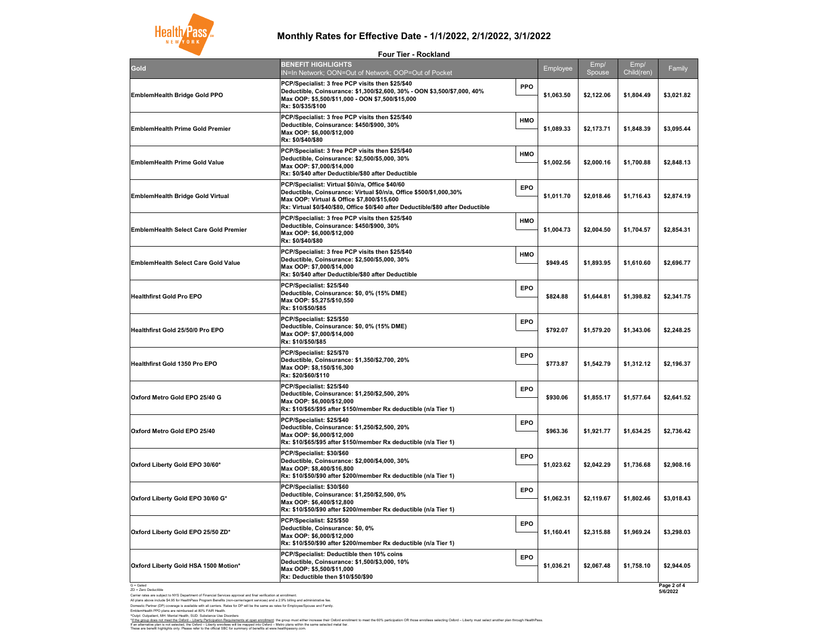G = Gated ZD = Zero Deductible

Carrier rates are subject to NYS Department of Financial Services approval and final verification at enrollment.

All plans above include \$4.95 for HealthPass Program Benefits (non-carrier/agent services) and a 2.9% billing and administrative fee. Domestic Partner (DP) coverage is available with all carriers. Rates for DP will be the same as rates for Employee/Spouse and Family. EmblemHealth PPO plans are reimbursed at 80% FAIR Health.

^Outpt: Outpatient, MH: Mental Health, SUD: Substance Use Disorders



## **Monthly Rates for Effective Date - 1/1/2022, 2/1/2022, 3/1/2022**

These are benefit highlights only. Please refer to the official SBC for summary of benefits at www.healthpassny.com. If an alternative plan is not selected, the Oxford – Liberty enrollees will be mapped into Oxford – Metro plans within the same selected metal tier.

| Gold                                         | <b>BENEFIT HIGHLIGHTS</b><br><b>IN=In Network; OON=O</b>                                                                                    |
|----------------------------------------------|---------------------------------------------------------------------------------------------------------------------------------------------|
| <b>EmblemHealth Bridge Gold PPO</b>          | <b>PCP/Specialist: 3 free PC</b><br><b>Deductible, Coinsurance</b><br>Max OOP: \$5,500/\$11,000<br>Rx: \$0/\$35/\$100                       |
| <b>EmblemHealth Prime Gold Premier</b>       | <b>PCP/Specialist: 3 free PC</b><br><b>Deductible, Coinsurance</b><br>Max OOP: \$6,000/\$12,000<br>Rx: \$0/\$40/\$80                        |
| <b>EmblemHealth Prime Gold Value</b>         | <b>PCP/Specialist: 3 free PC</b><br><b>Deductible, Coinsurance</b><br>Max OOP: \$7,000/\$14,000<br>Rx: \$0/\$40 after Deductik              |
| <b>EmblemHealth Bridge Gold Virtual</b>      | <b>PCP/Specialist: Virtual \$1</b><br><b>Deductible, Coinsurance</b><br><b>Max OOP: Virtual &amp; Offic</b><br>Rx: Virtual \$0/\$40/\$80, O |
| <b>EmblemHealth Select Care Gold Premier</b> | <b>PCP/Specialist: 3 free PC</b><br><b>Deductible, Coinsurance</b><br>Max OOP: \$6,000/\$12,000<br>Rx: \$0/\$40/\$80                        |
| <b>EmblemHealth Select Care Gold Value</b>   | <b>PCP/Specialist: 3 free PC</b><br><b>Deductible, Coinsurance</b><br>Max OOP: \$7,000/\$14,000<br>Rx: \$0/\$40 after Deductik              |
| <b>Healthfirst Gold Pro EPO</b>              | PCP/Specialist: \$25/\$40<br><b>Deductible, Coinsurance</b><br>Max OOP: \$5,275/\$10,550<br>Rx: \$10/\$50/\$85                              |
| <b>Healthfirst Gold 25/50/0 Pro EPO</b>      | PCP/Specialist: \$25/\$50<br><b>Deductible, Coinsurance</b><br>Max OOP: \$7,000/\$14,000<br>Rx: \$10/\$50/\$85                              |
| <b>Healthfirst Gold 1350 Pro EPO</b>         | PCP/Specialist: \$25/\$70<br><b>Deductible, Coinsurance</b><br>Max OOP: \$8,150/\$16,300<br>Rx: \$20/\$60/\$110                             |
| Oxford Metro Gold EPO 25/40 G                | PCP/Specialist: \$25/\$40<br><b>Deductible, Coinsurance</b><br>Max OOP: \$6,000/\$12,000<br>Rx: \$10/\$65/\$95 after \$15                   |
| <b>Oxford Metro Gold EPO 25/40</b>           | PCP/Specialist: \$25/\$40<br><b>Deductible, Coinsurance</b><br>Max OOP: \$6,000/\$12,000<br>Rx: \$10/\$65/\$95 after \$15                   |
| Oxford Liberty Gold EPO 30/60*               | PCP/Specialist: \$30/\$60<br><b>Deductible, Coinsurance</b><br>Max OOP: \$8,400/\$16,800<br>Rx: \$10/\$50/\$90 after \$20                   |
| Oxford Liberty Gold EPO 30/60 G*             | PCP/Specialist: \$30/\$60<br><b>Deductible, Coinsurance</b><br>Max OOP: \$6,400/\$12,800<br>Rx: \$10/\$50/\$90 after \$20                   |
| Oxford Liberty Gold EPO 25/50 ZD*            | PCP/Specialist: \$25/\$50<br><b>Deductible, Coinsurance</b><br>Max OOP: \$6,000/\$12,000<br>Rx: \$10/\$50/\$90 after \$20                   |
| Oxford Liberty Gold HSA 1500 Motion*         | <b>PCP/Specialist: Deductib</b><br><b>Deductible, Coinsurance</b><br>Max OOP: \$5,500/\$11,000<br>Rx: Deductible then \$10/                 |
|                                              |                                                                                                                                             |

| <b>Four Tier - Rockland</b>                                                                                                                                                                                                                              |            |                 |                |                        |            |
|----------------------------------------------------------------------------------------------------------------------------------------------------------------------------------------------------------------------------------------------------------|------------|-----------------|----------------|------------------------|------------|
| <b>BENEFIT HIGHLIGHTS</b><br>IN=In Network; OON=Out of Network; OOP=Out of Pocket                                                                                                                                                                        |            | <b>Employee</b> | Emp/<br>Spouse | Emp/<br>$ Child$ (ren) | Family     |
| PCP/Specialist: 3 free PCP visits then \$25/\$40<br>Deductible, Coinsurance: \$1,300/\$2,600, 30% - OON \$3,500/\$7,000, 40%<br>Max OOP: \$5,500/\$11,000 - OON \$7,500/\$15,000<br>Rx: \$0/\$35/\$100                                                   | <b>PPO</b> | \$1,063.50      | \$2,122.06     | \$1,804.49             | \$3,021.82 |
| PCP/Specialist: 3 free PCP visits then \$25/\$40<br>Deductible, Coinsurance: \$450/\$900, 30%<br>Max OOP: \$6,000/\$12,000<br>Rx: \$0/\$40/\$80                                                                                                          | <b>HMO</b> | \$1,089.33      | \$2,173.71     | \$1,848.39             | \$3,095.44 |
| PCP/Specialist: 3 free PCP visits then \$25/\$40<br>Deductible, Coinsurance: \$2,500/\$5,000, 30%<br>Max OOP: \$7,000/\$14,000<br>Rx: \$0/\$40 after Deductible/\$80 after Deductible                                                                    | <b>HMO</b> | \$1,002.56      | \$2,000.16     | \$1,700.88             | \$2,848.13 |
| PCP/Specialist: Virtual \$0/n/a, Office \$40/60<br>Deductible, Coinsurance: Virtual \$0/n/a, Office \$500/\$1,000,30%<br>Max OOP: Virtual & Office \$7,800/\$15,600<br>Rx: Virtual \$0/\$40/\$80, Office \$0/\$40 after Deductible/\$80 after Deductible | <b>EPO</b> | \$1,011.70      | \$2,018.46     | \$1,716.43             | \$2,874.19 |
| PCP/Specialist: 3 free PCP visits then \$25/\$40<br>Deductible, Coinsurance: \$450/\$900, 30%<br>Max OOP: \$6,000/\$12,000<br>Rx: \$0/\$40/\$80                                                                                                          | <b>HMO</b> | \$1,004.73      | \$2,004.50     | \$1,704.57             | \$2,854.31 |
| PCP/Specialist: 3 free PCP visits then \$25/\$40<br>Deductible, Coinsurance: \$2,500/\$5,000, 30%<br>Max OOP: \$7,000/\$14,000<br>Rx: \$0/\$40 after Deductible/\$80 after Deductible                                                                    | <b>HMO</b> | \$949.45        | \$1,893.95     | \$1,610.60             | \$2,696.77 |
| PCP/Specialist: \$25/\$40<br>Deductible, Coinsurance: \$0, 0% (15% DME)<br>Max OOP: \$5,275/\$10,550<br>Rx: \$10/\$50/\$85                                                                                                                               | <b>EPO</b> | \$824.88        | \$1,644.81     | \$1,398.82             | \$2,341.75 |
| PCP/Specialist: \$25/\$50<br>Deductible, Coinsurance: \$0, 0% (15% DME)<br>Max OOP: \$7,000/\$14,000<br>Rx: \$10/\$50/\$85                                                                                                                               | <b>EPO</b> | \$792.07        | \$1,579.20     | \$1,343.06             | \$2,248.25 |
| PCP/Specialist: \$25/\$70<br>Deductible, Coinsurance: \$1,350/\$2,700, 20%<br>Max OOP: \$8,150/\$16,300<br>Rx: \$20/\$60/\$110                                                                                                                           | <b>EPO</b> | \$773.87        | \$1,542.79     | \$1,312.12             | \$2,196.37 |
| PCP/Specialist: \$25/\$40<br>Deductible, Coinsurance: \$1,250/\$2,500, 20%<br>Max OOP: \$6,000/\$12,000                                                                                                                                                  | <b>EPO</b> | \$930.06        | \$1,855.17     | \$1,577.64             | \$2,641.52 |
| PCP/Specialist: \$25/\$40<br>Deductible, Coinsurance: \$1,250/\$2,500, 20%<br>Max OOP: \$6,000/\$12,000                                                                                                                                                  | <b>EPO</b> | \$963.36        | \$1,921.77     | \$1,634.25             | \$2,736.42 |
| PCP/Specialist: \$30/\$60<br>Deductible, Coinsurance: \$2,000/\$4,000, 30%<br>Max OOP: \$8,400/\$16,800                                                                                                                                                  | <b>EPO</b> | \$1,023.62      | \$2,042.29     | \$1,736.68             | \$2,908.16 |
| PCP/Specialist: \$30/\$60<br>Deductible, Coinsurance: \$1,250/\$2,500, 0%<br>Max OOP: \$6,400/\$12,800                                                                                                                                                   | <b>EPO</b> | \$1,062.31      | \$2,119.67     | \$1,802.46             | \$3,018.43 |
| PCP/Specialist: \$25/\$50<br>Deductible, Coinsurance: \$0, 0%<br>Max OOP: \$6,000/\$12,000                                                                                                                                                               | <b>EPO</b> | \$1,160.41      | \$2,315.88     | \$1,969.24             | \$3,298.03 |
| PCP/Specialist: Deductible then 10% coins<br>Deductible, Coinsurance: \$1,500/\$3,000, 10%<br>Max OOP: \$5,500/\$11,000<br><b>Rx: Deductible then \$10/\$50/\$90</b>                                                                                     | <b>EPO</b> | \$1,036.21      | \$2,067.48     | \$1,758.10             | \$2,944.05 |
|                                                                                                                                                                                                                                                          |            |                 |                |                        | Dao 2 of A |

**Page 2 of 4 5/6/2022**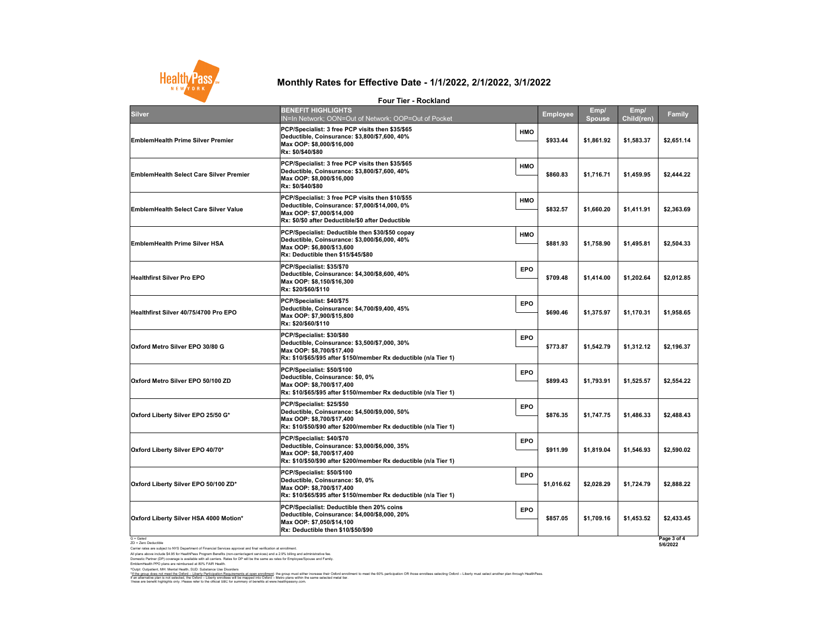Carrier rates are subject to NYS Department of Financial Services approval and final verification at enrollment.

All plans above include \$4.95 for HealthPass Program Benefits (non-carrier/agent services) and a 2.9% billing and administrative fee. Domestic Partner (DP) coverage is available with all carriers. Rates for DP will be the same as rates for Employee/Spouse and Family.

EmblemHealth PPO plans are reimbursed at 80% FAIR Health.

^Outpt: Outpatient, MH: Mental Health, SUD: Substance Use Disorders



# **Monthly Rates for Effective Date - 1/1/2022, 2/1/2022, 3/1/2022**

**Four Tier - Rockland**

These are benefit highlights only. Please refer to the official SBC for summary of benefits at www.healthpassny.com. \*<u>If the group does not meet the Oxford – Liberty Participation Requirements at open enrollment</u>: the group must either increase their Oxford enrollment to meet the 60% participation OR those enrollees selecting Oxford – L If an alternative plan is not selected, the Oxford – Liberty enrollees will be mapped into Oxford – Metro plans within the same selected metal tier.

|                                                | <b>Four Tier - Rockland</b>                                                                                                                                                         |            |                 |                       |                    |                         |
|------------------------------------------------|-------------------------------------------------------------------------------------------------------------------------------------------------------------------------------------|------------|-----------------|-----------------------|--------------------|-------------------------|
| <b>Silver</b>                                  | <b>BENEFIT HIGHLIGHTS</b><br>IN=In Network; OON=Out of Network; OOP=Out of Pocket                                                                                                   |            | <b>Employee</b> | Emp/<br><b>Spouse</b> | Emp/<br>Child(ren) | <b>Family</b>           |
| <b>EmblemHealth Prime Silver Premier</b>       | PCP/Specialist: 3 free PCP visits then \$35/\$65<br>Deductible, Coinsurance: \$3,800/\$7,600, 40%<br>Max OOP: \$8,000/\$16,000<br>Rx: \$0/\$40/\$80                                 | <b>HMO</b> | \$933.44        | \$1,861.92            | \$1,583.37         | \$2,651.14              |
| <b>EmblemHealth Select Care Silver Premier</b> | PCP/Specialist: 3 free PCP visits then \$35/\$65<br>Deductible, Coinsurance: \$3,800/\$7,600, 40%<br>Max OOP: \$8,000/\$16,000<br>Rx: \$0/\$40/\$80                                 | <b>HMO</b> | \$860.83        | \$1,716.71            | \$1,459.95         | \$2,444.22              |
| <b>EmblemHealth Select Care Silver Value</b>   | PCP/Specialist: 3 free PCP visits then \$10/\$55<br>Deductible, Coinsurance: \$7,000/\$14,000, 0%<br>Max OOP: \$7,000/\$14,000<br>Rx: \$0/\$0 after Deductible/\$0 after Deductible | <b>HMO</b> | \$832.57        | \$1,660.20            | \$1,411.91         | \$2,363.69              |
| <b>EmblemHealth Prime Silver HSA</b>           | PCP/Specialist: Deductible then \$30/\$50 copay<br>Deductible, Coinsurance: \$3,000/\$6,000, 40%<br>Max OOP: \$6,800/\$13,600<br>Rx: Deductible then \$15/\$45/\$80                 | <b>HMO</b> | \$881.93        | \$1,758.90            | \$1,495.81         | \$2,504.33              |
| <b>Healthfirst Silver Pro EPO</b>              | PCP/Specialist: \$35/\$70<br>Deductible, Coinsurance: \$4,300/\$8,600, 40%<br>Max OOP: \$8,150/\$16,300<br>Rx: \$20/\$60/\$110                                                      | <b>EPO</b> | \$709.48        | \$1,414.00            | \$1,202.64         | \$2,012.85              |
| Healthfirst Silver 40/75/4700 Pro EPO          | PCP/Specialist: \$40/\$75<br>Deductible, Coinsurance: \$4,700/\$9,400, 45%<br>Max OOP: \$7,900/\$15,800<br>Rx: \$20/\$60/\$110                                                      | <b>EPO</b> | \$690.46        | \$1,375.97            | \$1,170.31         | \$1,958.65              |
| Oxford Metro Silver EPO 30/80 G                | PCP/Specialist: \$30/\$80<br>Deductible, Coinsurance: \$3,500/\$7,000, 30%<br>Max OOP: \$8,700/\$17,400<br>Rx: \$10/\$65/\$95 after \$150/member Rx deductible (n/a Tier 1)         | <b>EPO</b> | \$773.87        | \$1,542.79            | \$1,312.12         | \$2,196.37              |
| Oxford Metro Silver EPO 50/100 ZD              | PCP/Specialist: \$50/\$100<br>Deductible, Coinsurance: \$0, 0%<br>Max OOP: \$8,700/\$17,400<br>Rx: \$10/\$65/\$95 after \$150/member Rx deductible (n/a Tier 1)                     | <b>EPO</b> | \$899.43        | \$1,793.91            | \$1,525.57         | \$2,554.22              |
| Oxford Liberty Silver EPO 25/50 G*             | PCP/Specialist: \$25/\$50<br>Deductible, Coinsurance: \$4,500/\$9,000, 50%<br>Max OOP: \$8,700/\$17,400<br>Rx: \$10/\$50/\$90 after \$200/member Rx deductible (n/a Tier 1)         | <b>EPO</b> | \$876.35        | \$1,747.75            | \$1,486.33         | \$2,488.43              |
| Oxford Liberty Silver EPO 40/70*               | PCP/Specialist: \$40/\$70<br>Deductible, Coinsurance: \$3,000/\$6,000, 35%<br>Max OOP: \$8,700/\$17,400<br>Rx: \$10/\$50/\$90 after \$200/member Rx deductible (n/a Tier 1)         | <b>EPO</b> | \$911.99        | \$1,819.04            | \$1,546.93         | \$2,590.02              |
| Oxford Liberty Silver EPO 50/100 ZD*           | PCP/Specialist: \$50/\$100<br>Deductible, Coinsurance: \$0, 0%<br>Max OOP: \$8,700/\$17,400<br>Rx: \$10/\$65/\$95 after \$150/member Rx deductible (n/a Tier 1)                     | <b>EPO</b> | \$1,016.62      | \$2,028.29            | \$1,724.79         | \$2,888.22              |
| <b>Oxford Liberty Silver HSA 4000 Motion*</b>  | PCP/Specialist: Deductible then 20% coins<br>Deductible, Coinsurance: \$4,000/\$8,000, 20%<br>Max OOP: \$7,050/\$14,100<br>Rx: Deductible then \$10/\$50/\$90                       | <b>EPO</b> | \$857.05        | \$1,709.16            | \$1,453.52         | \$2,433.45              |
| $G =$ Gated<br>ZD = Zero Deductible            |                                                                                                                                                                                     |            |                 |                       |                    | Page 3 of 4<br>5/6/2022 |